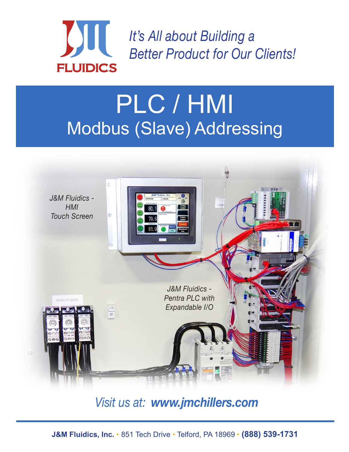

*It's All about Building a Better Product for Our Clients!*

# PLC / HMI Modbus (Slave) Addressing



### *Visit us at: www.jmchillers.com*

**J&M Fluidics, Inc.** • 851 Tech Drive • Telford, PA 18969 • **(888) 539-1731**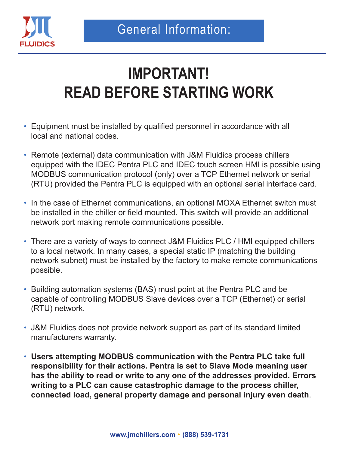

## **IMPORTANT! READ BEFORE STARTING WORK**

- Equipment must be installed by qualified personnel in accordance with all local and national codes.
- Remote (external) data communication with J&M Fluidics process chillers equipped with the IDEC Pentra PLC and IDEC touch screen HMI is possible using MODBUS communication protocol (only) over a TCP Ethernet network or serial (RTU) provided the Pentra PLC is equipped with an optional serial interface card.
- In the case of Ethernet communications, an optional MOXA Ethernet switch must be installed in the chiller or field mounted. This switch will provide an additional network port making remote communications possible.
- There are a variety of ways to connect J&M Fluidics PLC / HMI equipped chillers to a local network. In many cases, a special static IP (matching the building network subnet) must be installed by the factory to make remote communications possible.
- Building automation systems (BAS) must point at the Pentra PLC and be capable of controlling MODBUS Slave devices over a TCP (Ethernet) or serial (RTU) network.
- J&M Fluidics does not provide network support as part of its standard limited manufacturers warranty.
- **Users attempting MODBUS communication with the Pentra PLC take full responsibility for their actions. Pentra is set to Slave Mode meaning user has the ability to read or write to any one of the addresses provided. Errors writing to a PLC can cause catastrophic damage to the process chiller, connected load, general property damage and personal injury even death**.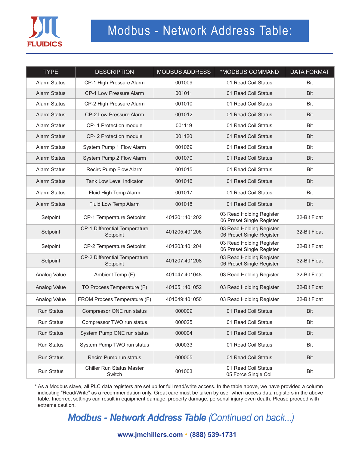

### Modbus - Network Address Table:

| <b>TYPE</b>         | <b>DESCRIPTION</b>                         | <b>MODBUS ADDRESS</b> | *MODBUS COMMAND                                       | <b>DATA FORMAT</b> |
|---------------------|--------------------------------------------|-----------------------|-------------------------------------------------------|--------------------|
| <b>Alarm Status</b> | CP-1 High Pressure Alarm                   | 001009                | 01 Read Coil Status                                   | Bit                |
| <b>Alarm Status</b> | CP-1 Low Pressure Alarm                    | 001011                | 01 Read Coil Status                                   | <b>Bit</b>         |
| <b>Alarm Status</b> | CP-2 High Pressure Alarm                   | 001010                | 01 Read Coil Status                                   | Bit                |
| <b>Alarm Status</b> | CP-2 Low Pressure Alarm                    | 001012                | 01 Read Coil Status                                   | <b>Bit</b>         |
| <b>Alarm Status</b> | CP-1 Protection module                     | 001119                | 01 Read Coil Status                                   | Bit                |
| <b>Alarm Status</b> | CP-2 Protection module                     | 001120                | 01 Read Coil Status                                   | <b>Bit</b>         |
| Alarm Status        | System Pump 1 Flow Alarm                   | 001069                | 01 Read Coil Status                                   | Bit                |
| <b>Alarm Status</b> | System Pump 2 Flow Alarm                   | 001070                | 01 Read Coil Status                                   | <b>Bit</b>         |
| Alarm Status        | Recirc Pump Flow Alarm                     | 001015                | 01 Read Coil Status                                   | Bit                |
| <b>Alarm Status</b> | Tank Low Level Indicator                   | 001016                | 01 Read Coil Status                                   | <b>Bit</b>         |
| Alarm Status        | Fluid High Temp Alarm                      | 001017                | 01 Read Coil Status                                   | Bit                |
| <b>Alarm Status</b> | Fluid Low Temp Alarm                       | 001018                | 01 Read Coil Status                                   | <b>Bit</b>         |
| Setpoint            | CP-1 Temperature Setpoint                  | 401201:401202         | 03 Read Holding Register<br>06 Preset Single Register | 32-Bit Float       |
| Setpoint            | CP-1 Differential Temperature<br>Setpoint  | 401205:401206         | 03 Read Holding Register<br>06 Preset Single Register | 32-Bit Float       |
| Setpoint            | CP-2 Temperature Setpoint                  | 401203:401204         | 03 Read Holding Register<br>06 Preset Single Register | 32-Bit Float       |
| Setpoint            | CP-2 Differential Temperature<br>Setpoint  | 401207:401208         | 03 Read Holding Register<br>06 Preset Single Register | 32-Bit Float       |
| Analog Value        | Ambient Temp (F)                           | 401047:401048         | 03 Read Holding Register                              | 32-Bit Float       |
| Analog Value        | TO Process Temperature (F)                 | 401051:401052         | 03 Read Holding Register                              | 32-Bit Float       |
| Analog Value        | FROM Process Temperature (F)               | 401049:401050         | 03 Read Holding Register                              | 32-Bit Float       |
| <b>Run Status</b>   | Compressor ONE run status                  | 000009                | 01 Read Coil Status                                   | <b>Bit</b>         |
| Run Status          | Compressor TWO run status                  | 000025                | 01 Read Coil Status                                   | Bit                |
| <b>Run Status</b>   | System Pump ONE run status                 | 000004                | 01 Read Coil Status                                   | Bit                |
| Run Status          | System Pump TWO run status                 | 000033                | 01 Read Coil Status                                   | Bit                |
| Run Status          | Recirc Pump run status                     | 000005                | 01 Read Coil Status                                   | Bit                |
| Run Status          | <b>Chiller Run Status Master</b><br>Switch | 001003                | 01 Read Coil Status<br>05 Force Single Coil           | Bit                |

\* As a Modbus slave, all PLC data registers are set up for full read/write access. In the table above, we have provided a column indicating "Read/Write" as a recommendation only. Great care must be taken by user when access data registers in the above table. Incorrect settings can result in equipment damage, property damage, personal injury even death. Please proceed with extreme caution.

*Modbus - Network Address Table (Continued on back...)*